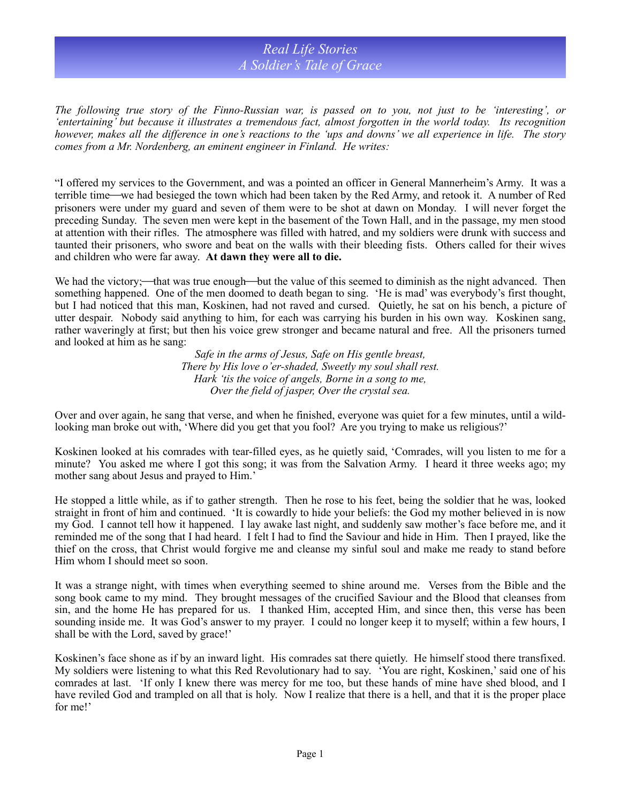## *Real Life Stories A Soldier's Tale of Grace*

*The following true story of the Finno-Russian war, is passed on to you, not just to be 'interesting', or 'entertaining' but because it illustrates a tremendous fact, almost forgotten in the world today. Its recognition however, makes all the difference in one's reactions to the 'ups and downs' we all experience in life. The story comes from a Mr. Nordenberg, an eminent engineer in Finland. He writes:*

"I offered my services to the Government, and was a pointed an officer in General Mannerheim's Army. It was a terrible time—we had besieged the town which had been taken by the Red Army, and retook it. A number of Red prisoners were under my guard and seven of them were to be shot at dawn on Monday. I will never forget the preceding Sunday. The seven men were kept in the basement of the Town Hall, and in the passage, my men stood at attention with their rifles. The atmosphere was filled with hatred, and my soldiers were drunk with success and taunted their prisoners, who swore and beat on the walls with their bleeding fists. Others called for their wives and children who were far away. **At dawn they were all to die.**

We had the victory;—that was true enough—but the value of this seemed to diminish as the night advanced. Then something happened. One of the men doomed to death began to sing. 'He is mad' was everybody's first thought, but I had noticed that this man, Koskinen, had not raved and cursed. Quietly, he sat on his bench, a picture of utter despair. Nobody said anything to him, for each was carrying his burden in his own way. Koskinen sang, rather waveringly at first; but then his voice grew stronger and became natural and free. All the prisoners turned and looked at him as he sang:

> *Safe in the arms of Jesus, Safe on His gentle breast, There by His love o'er-shaded, Sweetly my soul shall rest. Hark 'tis the voice of angels, Borne in a song to me, Over the field of jasper, Over the crystal sea.*

Over and over again, he sang that verse, and when he finished, everyone was quiet for a few minutes, until a wildlooking man broke out with, 'Where did you get that you fool? Are you trying to make us religious?'

Koskinen looked at his comrades with tear-filled eyes, as he quietly said, 'Comrades, will you listen to me for a minute? You asked me where I got this song; it was from the Salvation Army. I heard it three weeks ago; my mother sang about Jesus and prayed to Him.'

He stopped a little while, as if to gather strength. Then he rose to his feet, being the soldier that he was, looked straight in front of him and continued. 'It is cowardly to hide your beliefs: the God my mother believed in is now my God. I cannot tell how it happened. I lay awake last night, and suddenly saw mother's face before me, and it reminded me of the song that I had heard. I felt I had to find the Saviour and hide in Him. Then I prayed, like the thief on the cross, that Christ would forgive me and cleanse my sinful soul and make me ready to stand before Him whom I should meet so soon.

It was a strange night, with times when everything seemed to shine around me. Verses from the Bible and the song book came to my mind. They brought messages of the crucified Saviour and the Blood that cleanses from sin, and the home He has prepared for us. I thanked Him, accepted Him, and since then, this verse has been sounding inside me. It was God's answer to my prayer. I could no longer keep it to myself; within a few hours, I shall be with the Lord, saved by grace!'

Koskinen's face shone as if by an inward light. His comrades sat there quietly. He himself stood there transfixed. My soldiers were listening to what this Red Revolutionary had to say. 'You are right, Koskinen,' said one of his comrades at last. 'If only I knew there was mercy for me too, but these hands of mine have shed blood, and I have reviled God and trampled on all that is holy. Now I realize that there is a hell, and that it is the proper place for me!'